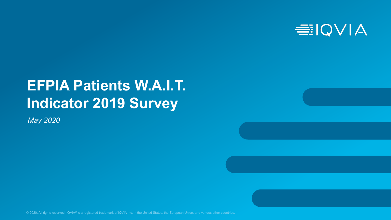

# **EFPIA Patients W.A.I.T. Indicator 2019 Survey**

*May 2020*

© 2020. All rights reserved. IQVIA® is a registered trademark of IQVIA Inc. in the United States, the European Union, and various other countries.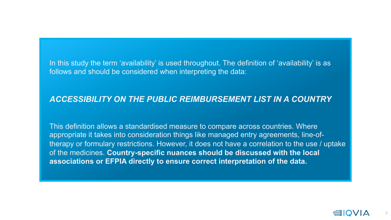In this study the term 'availability' is used throughout. The definition of 'availability' is as follows and should be considered when interpreting the data:

### *ACCESSIBILITY ON THE PUBLIC REIMBURSEMENT LIST IN A COUNTRY*

This definition allows a standardised measure to compare across countries. Where appropriate it takes into consideration things like managed entry agreements, line-oftherapy or formulary restrictions. However, it does not have a correlation to the use / uptake of the medicines. **Country-specific nuances should be discussed with the local associations or EFPIA directly to ensure correct interpretation of the data.**

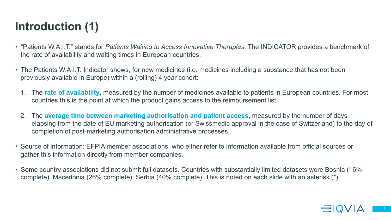## **Introduction (1)**

- "Patients W.A.I.T." stands for *Patients Waiting to Access Innovative Therapies*. The INDICATOR provides a benchmark of the rate of availability and waiting times in European countries.
- The Patients W.A.I.T. Indicator shows, for new medicines (i.e. medicines including a substance that has not been previously available in Europe) within a (rolling) 4 year cohort:
	- 1. The **rate of availability**, measured by the number of medicines available to patients in European countries. For most countries this is the point at which the product gains access to the reimbursement list
	- 2. The **average time between marketing authorisation and patient access**, measured by the number of days elapsing from the date of EU marketing authorisation (or Swissmedic approval in the case of Switzerland) to the day of completion of post-marketing authorisation administrative processes
- Source of information: EFPIA member associations, who either refer to information available from official sources or gather this information directly from member companies.
- Some country associations did not submit full datasets. Countries with substantially limited datasets were Bosnia (16% complete), Macedonia (26% complete), Serbia (40% complete). This is noted on each slide with an asterisk (\*).

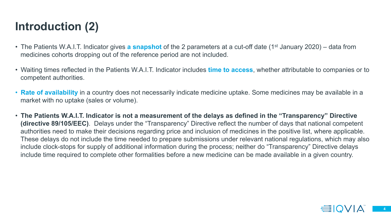## **Introduction (2)**

- The Patients W.A.I.T. Indicator gives **a snapshot** of the 2 parameters at a cut-off date (1st January 2020) data from medicines cohorts dropping out of the reference period are not included.
- Waiting times reflected in the Patients W.A.I.T. Indicator includes **time to access**, whether attributable to companies or to competent authorities.
- **Rate of availability** in a country does not necessarily indicate medicine uptake. Some medicines may be available in a market with no uptake (sales or volume).
- **The Patients W.A.I.T. Indicator is not a measurement of the delays as defined in the "Transparency" Directive (directive 89/105/EEC)**. Delays under the "Transparency" Directive reflect the number of days that national competent authorities need to make their decisions regarding price and inclusion of medicines in the positive list, where applicable. These delays do not include the time needed to prepare submissions under relevant national regulations, which may also include clock-stops for supply of additional information during the process; neither do "Transparency" Directive delays include time required to complete other formalities before a new medicine can be made available in a given country.

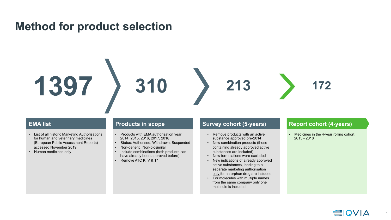### **Method for product selection**



#### **EMA list**

- List of all historic Marketing Authorisations for human and veterinary medicines (European Public Assessment Reports) accessed November 2019
- Human medicines only

- Products with EMA authorisation year: 2014, 2015, 2016, 2017, 2018
- Status: Authorised, Withdrawn, Suspended
- Non-generic; Non-biosimilar
- Include combinations (both products can have already been approved before)
- Remove ATC K, V & T\*

#### **Products in scope Survey cohort (5-years) Report cohort (4-years)**

- Remove products with an active substance approved pre-2014
- New combination products (those containing already approved active substances are included)
- New formulations were excluded
- New indications of already approved active substances, leading to a separate marketing authorisation only for an orphan drug are included
- For molecules with multiple names from the same company only one molecule is included

• Medicines in the 4-year rolling cohort 2015 - 2018

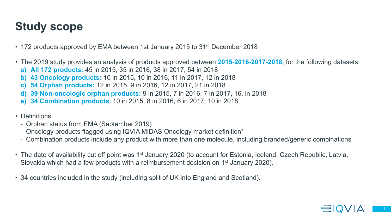## **Study scope**

- 172 products approved by EMA between 1st January 2015 to 31<sup>st</sup> December 2018
- The 2019 study provides an analysis of products approved between **2015-2016-2017-2018**, for the following datasets:
	- **a) All 172 products:** 45 in 2015, 35 in 2016, 38 in 2017, 54 in 2018
	- **b) 43 Oncology products:** 10 in 2015, 10 in 2016, 11 in 2017, 12 in 2018
	- **c) 54 Orphan products:** 12 in 2015, 9 in 2016, 12 in 2017, 21 in 2018
	- **d) 39 Non-oncologic orphan products:** 9 in 2015, 7 in 2016, 7 in 2017, 16, in 2018
	- **e) 34 Combination products**: 10 in 2015, 8 in 2016, 6 in 2017, 10 in 2018
- Definitions:
	- Orphan status from EMA (September 2019)
	- Oncology products flagged using IQVIA MIDAS Oncology market definition\*
	- Combination products include any product with more than one molecule, including branded/generic combinations
- The date of availability cut off point was 1<sup>st</sup> January 2020 (to account for Estonia, Iceland, Czech Republic, Latvia, Slovakia which had a few products with a reimbursement decision on 1st January 2020).
- 34 countries included in the study (including split of UK into England and Scotland).

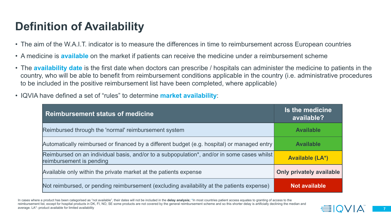## **Definition of Availability**

- The aim of the W.A.I.T. indicator is to measure the differences in time to reimbursement across European countries
- A medicine is **available** on the market if patients can receive the medicine under a reimbursement scheme
- The **availability date** is the first date when doctors can prescribe / hospitals can administer the medicine to patients in the country, who will be able to benefit from reimbursement conditions applicable in the country (i.e. administrative procedures to be included in the positive reimbursement list have been completed, where applicable)
- IQVIA have defined a set of "rules" to determine **market availability**:

| <b>Reimbursement status of medicine</b>                                                                                | Is the medicine<br>available?   |
|------------------------------------------------------------------------------------------------------------------------|---------------------------------|
| Reimbursed through the 'normal' reimbursement system                                                                   | <b>Available</b>                |
| Automatically reimbursed or financed by a different budget (e.g. hospital) or managed entry                            | <b>Available</b>                |
| Reimbursed on an individual basis, and/or to a subpopulation*, and/or in some cases whilst<br>reimbursement is pending | <b>Available (LA*)</b>          |
| Available only within the private market at the patients expense                                                       | <b>Only privately available</b> |
| Not reimbursed, or pending reimbursement (excluding availability at the patients expense)                              | <b>Not available</b>            |

In cases where a product has been categorised as "not available", their dates will not be included in the **delay analysis;** \*In most countries patient access equates to granting of access to the reimbursement list, except for hospital products in DK, FI, NO, SE some products are not covered by the general reimbursement scheme and so this shorter delay is artificially declining the median and average. LA\*: product available for limited availability

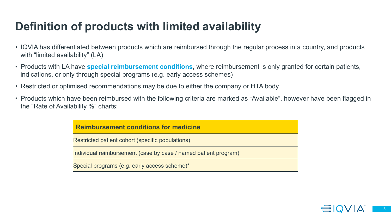## **Definition of products with limited availability**

- IQVIA has differentiated between products which are reimbursed through the regular process in a country, and products with "limited availability" (LA)
- Products with LA have **special reimbursement conditions**, where reimbursement is only granted for certain patients, indications, or only through special programs (e.g. early access schemes)
- Restricted or optimised recommendations may be due to either the company or HTA body
- Products which have been reimbursed with the following criteria are marked as "Available", however have been flagged in the "Rate of Availability %" charts:

#### **Reimbursement conditions for medicine**

Restricted patient cohort (specific populations)

Individual reimbursement (case by case / named patient program)

Special programs (e.g. early access scheme)\*

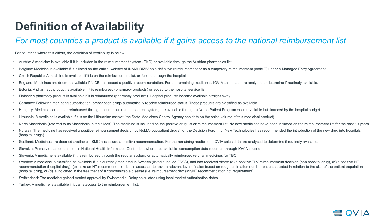## **Definition of Availability**

### *For most countries a product is available if it gains access to the national reimbursement list*

. For countries where this differs, the definition of Availability is below:

- Austria: A medicine is available if it is included in the reimbursement system (EKO) or available through the Austrian pharmacies list.
- Belgium: Medicine is available if it is listed on the official website of INAMI-RIZIV as a definitive reimbursement or as a temporary reimbursement (code T) under a Managed Entry Agreement.
- Czech Republic: A medicine is available if it is on the reimbursement list, or funded through the hospital
- England: Medicines are deemed available if NICE has issued a positive recommendation. For the remaining medicines, IQVIA sales data are analysed to determine if routinely available.
- Estonia: A pharmacy product is available if it is reimbursed (pharmacy products) or added to the hospital service list.
- Finland: A pharmacy product is available if it is reimbursed (pharmacy products). Hospital products become available straight away.
- Germany: Following marketing authorisation, prescription drugs automatically receive reimbursed status. These products are classified as available.
- Hungary: Medicines are either reimbursed through the 'normal' reimbursement system, are available through a Name Patient Program or are available but financed by the hospital budget.
- Lithuania: A medicine is available if it is on the Lithuanian market (the State Medicines Control Agency has data on the sales volume of this medicinal product)
- North Macedonia (referred to as Macedonia in the slides): The medicine is included on the positive drug list or reimbursement list. No new medicines have been included on the reimbursement list for the past 10 years.
- Norway: The medicine has received a positive reimbursement decision by NoMA (out-patient drugs), or the Decision Forum for New Technologies has recommended the introduction of the new drug into hospitals (hospital drugs).
- Scotland: Medicines are deemed available if SMC has issued a positive recommendation. For the remaining medicines, IQVIA sales data are analysed to determine if routinely available.
- Slovakia: Primary data source used is National Health Information Center, but where not available, consumption data recorded through IQVIA is used
- Slovenia: A medicine is available if it is reimbursed through the regular system, or automatically reimbursed (e.g. all medicines for TBC)
- Sweden: A medicine is classified as available if it is currently marketed in Sweden (listed supplied FASS), and has received either: (a) a positive TLV reimbursement decision (non hospital drug), (b) a positive NT recommendation (hospital drug), (c) lacks an NT recommendation but is assessed to have a relevant level of sales based on rough estimation number patients treated in relation to the size of the patient population (hospital drug), or (d) is indicated in the treatment of a communicable disease (i.e. reimbursement decision/NT recommendation not requirement).
- Switzerland: The medicine gained market approval by Swissmedic. Delay calculated using local market authorisation dates.
- Turkey: A medicine is available if it gains access to the reimbursement list.

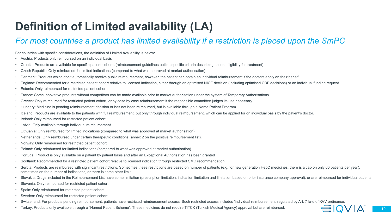## **Definition of Limited availability (LA)**

### *For most countries a product has limited availability if a restriction is placed upon the SmPC*

For countries with specific considerations, the definition of Limited availability is below:

- Austria: Products only reimbursed on an individual basis
- Croatia: Products are available for specific patient cohorts (reimbursement guidelines outline specific criteria describing patient eligibility for treatment).
- Czech Republic: Only reimbursed for limited indications (compared to what was approved at market authorisation)
- Denmark: Products which don't automatically receive public reimbursement, however, the patient can obtain an individual reimbursement if the doctors apply on their behalf.
- England: Recommended for a restricted patient cohort relative to licensed indication, either through an optimised NICE decision (including optimised CDF decisions) or an individual funding request
- Estonia: Only reimbursed for restricted patient cohort.
- France: Some innovative products without competitors can be made available prior to market authorisation under the system of Temporary Authorisations
- Greece: Only reimbursed for restricted patient cohort, or by case by case reimbursement if the responsible committee judges its use necessary.
- Hungary: Medicine is pending reimbursement decision or has not been reimbursed, but is available through a Name Patient Program.
- Iceland: Products are available to the patients with full reimbursement, but only through individual reimbursement, which can be applied for on individual basis by the patient's doctor.
- Ireland: Only reimbursed for restricted patient cohort
- Latvia: Only available through individual reimbursement
- Lithuania: Only reimbursed for limited indications (compared to what was approved at market authorisation)
- Netherlands: Only reimbursed under certain therapeutic conditions (annex 2 on the positive reimbursement list).
- way: Only reimbursed for restricted patient cohort
- Poland: Only reimbursed for limited indications (compared to what was approved at market authorisation)
- Portugal: Product is only available on a patient by patient basis and after an Exceptional Authorisation has been granted
- Scotland: Recommended for a restricted patient cohort relative to licensed indication through restricted SMC recommendation
- Serbia: Products are reimbursed with significant restrictions. Sometimes these restrictions are based on number of patients (e.g. for new generation HepC medicines, there is a cap on only 60 patients per year), sometimes on the number of indications, or there is some other limit.
- Slovakia: Drugs included in the Reimbursement List have some limitation (prescription limitation, indication limitation and limitation based on prior insurance company approval), or are reimbursed for individual patients
- Slovenia: Only reimbursed for restricted patient cohort
- Spain: Only reimbursed for restricted patient cohort
- Sweden: Only reimbursed for restricted patient cohort
- Switzerland: For products pending reimbursement, patients have restricted reimbursement access. Such restricted access includes 'individual reimbursement' regulated by Art. 71a-d of KVV ordinance.
- Turkey: Products only available through a "Named Patient Scheme". These medicines do not require TITCK (Turkish Medical Agency) approval but are reimbursed.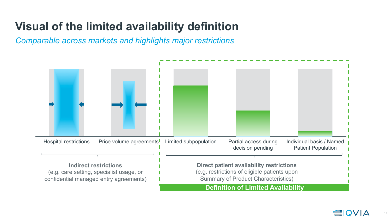## **Visual of the limited availability definition**

*Comparable across markets and highlights major restrictions* 

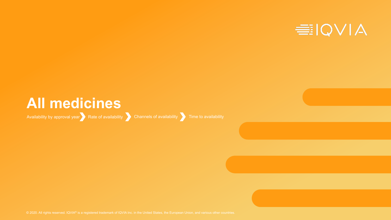

## **All medicines**

Availability by approval year Rate of availability Channels of availability Time to availability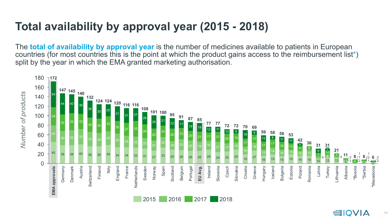## **Total availability by approval year (2015 - 2018)**

The **total of availability by approval year** is the number of medicines available to patients in European countries (for most countries this is the point at which the product gains access to the reimbursement list\*) split by the year in which the EMA granted marketing authorisation.

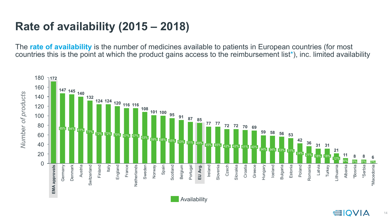## **Rate of availability (2015 – 2018)**

The **rate of availability** is the number of medicines available to patients in European countries (for most countries this is the point at which the product gains access to the reimbursement list\*), inc. limited availability

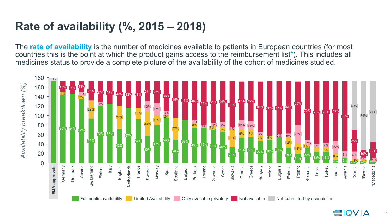## **Rate of availability (%, 2015 – 2018)**

The **rate of availability** is the number of medicines available to patients in European countries (for most countries this is the point at which the product gains access to the reimbursement list\*). This includes all medicines status to provide a complete picture of the availability of the cohort of medicines studied.

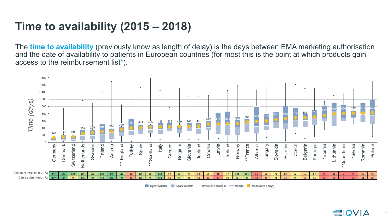## **Time to availability (2015 – 2018)**

The **time to availability** (previously know as length of delay) is the days between EMA marketing authorisation and the date of availability to patients in European countries (for most this is the point at which products gain access to the reimbursement list\*).

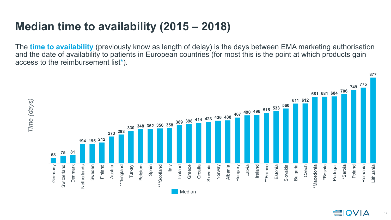## **Median time to availability (2015 – 2018)**

The **time to availability** (previously know as length of delay) is the days between EMA marketing authorisation and the date of availability to patients in European countries (for most this is the point at which products gain access to the reimbursement list\*).

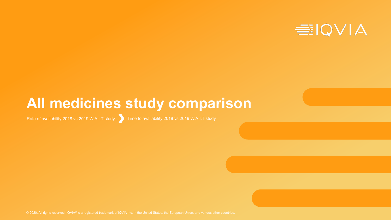

# **All medicines study comparison**

Rate of availability 2018 vs 2019 W.A.I.T study Time to availability 2018 vs 2019 W.A.I.T study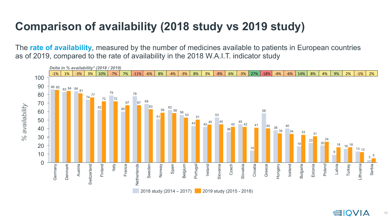## **Comparison of availability (2018 study vs 2019 study)**

The **rate of availability**, measured by the number of medicines available to patients in European countries as of 2019, compared to the rate of availability in the 2018 W.A.I.T. indicator study

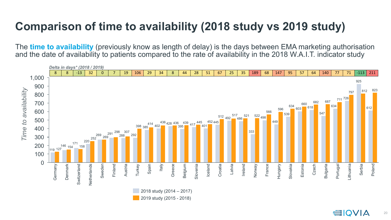## **Comparison of time to availability (2018 study vs 2019 study)**

The **time to availability** (previously know as length of delay) is the days between EMA marketing authorisation and the date of availability to patients compared to the rate of availability in the 2018 W.A.I.T. indicator study

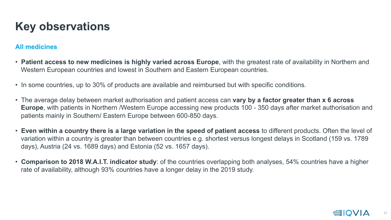## **Key observations**

#### **All medicines**

- **Patient access to new medicines is highly varied across Europe**, with the greatest rate of availability in Northern and Western European countries and lowest in Southern and Eastern European countries.
- In some countries, up to 30% of products are available and reimbursed but with specific conditions.
- The average delay between market authorisation and patient access can **vary by a factor greater than x 6 across Europe**, with patients in Northern /Western Europe accessing new products 100 - 350 days after market authorisation and patients mainly in Southern/ Eastern Europe between 600-850 days.
- **Even within a country there is a large variation in the speed of patient access** to different products. Often the level of variation within a country is greater than between countries e.g. shortest versus longest delays in Scotland (159 vs. 1789 days), Austria (24 vs. 1689 days) and Estonia (52 vs. 1657 days).
- **Comparison to 2018 W.A.I.T. indicator study**: of the countries overlapping both analyses, 54% countries have a higher rate of availability, although 93% countries have a longer delay in the 2019 study.

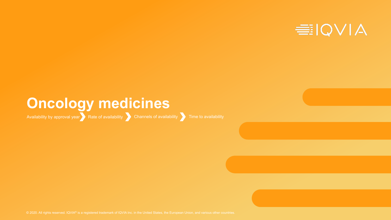

## **Oncology medicines**

Availability by approval year Rate of availability Channels of availability Time to availability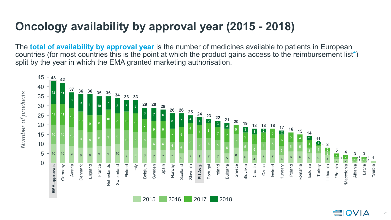## **Oncology availability by approval year (2015 - 2018)**

The **total of availability by approval year** is the number of medicines available to patients in European countries (for most countries this is the point at which the product gains access to the reimbursement list\*) split by the year in which the EMA granted marketing authorisation.

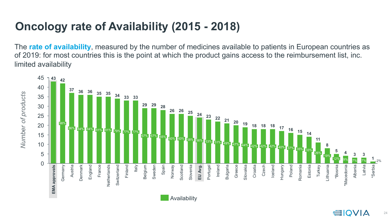## **Oncology rate of Availability (2015 - 2018)**

The **rate of availability**, measured by the number of medicines available to patients in European countries as of 2019: for most countries this is the point at which the product gains access to the reimbursement list, inc. limited availability

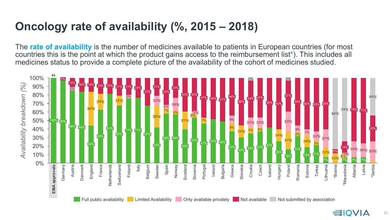## **Oncology rate of availability (%, 2015 – 2018)**

The **rate of availability** is the number of medicines available to patients in European countries (for most countries this is the point at which the product gains access to the reimbursement list\*). This includes all medicines status to provide a complete picture of the availability of the cohort of medicines studied.

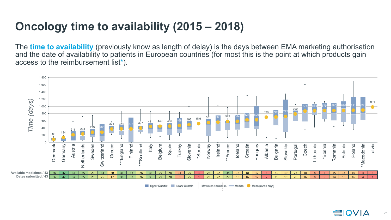## **Oncology time to availability (2015 – 2018)**

The **time to availability** (previously know as length of delay) is the days between EMA marketing authorisation and the date of availability to patients in European countries (for most this is the point at which products gain access to the reimbursement list\*).



Upper Quartile | Lower Quartile

Maximum / minimum - Median Mean (mean days)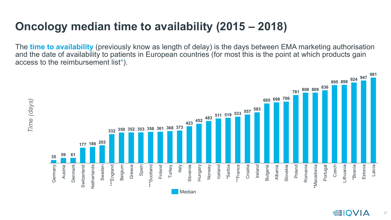## **Oncology median time to availability (2015 – 2018)**

The **time to availability** (previously know as length of delay) is the days between EMA marketing authorisation and the date of availability to patients in European countries (for most this is the point at which products gain access to the reimbursement list\*).

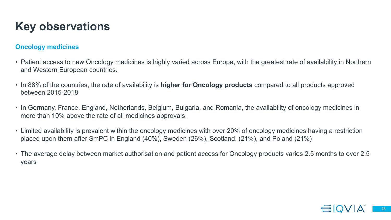## **Key observations**

#### **Oncology medicines**

- Patient access to new Oncology medicines is highly varied across Europe, with the greatest rate of availability in Northern and Western European countries.
- In 88% of the countries, the rate of availability is **higher for Oncology products** compared to all products approved between 2015-2018
- In Germany, France, England, Netherlands, Belgium, Bulgaria, and Romania, the availability of oncology medicines in more than 10% above the rate of all medicines approvals.
- Limited availability is prevalent within the oncology medicines with over 20% of oncology medicines having a restriction placed upon them after SmPC in England (40%), Sweden (26%), Scotland, (21%), and Poland (21%)
- The average delay between market authorisation and patient access for Oncology products varies 2.5 months to over 2.5 years

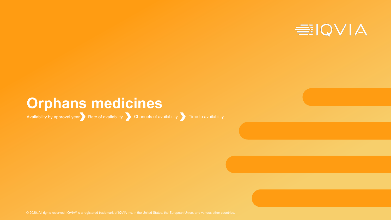

# **Orphans medicines**

Availability by approval year  $\begin{array}{|c|c|c|}\n\hline\n\end{array}$  Rate of availability  $\begin{array}{|c|c|c|}\n\hline\n\end{array}$  Channels of availability  $\begin{array}{|c|c|}\n\hline\n\end{array}$  Time to availability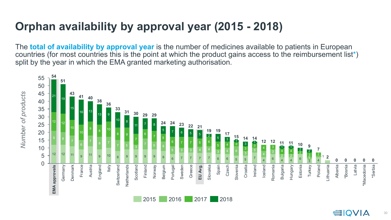## **Orphan availability by approval year (2015 - 2018)**

The **total of availability by approval year** is the number of medicines available to patients in European countries (for most countries this is the point at which the product gains access to the reimbursement list\*) split by the year in which the EMA granted marketing authorisation.

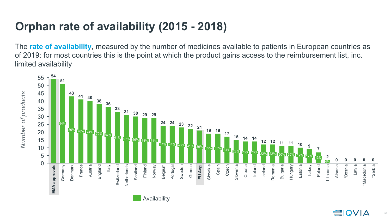## **Orphan rate of availability (2015 - 2018)**

The **rate of availability**, measured by the number of medicines available to patients in European countries as of 2019: for most countries this is the point at which the product gains access to the reimbursement list, inc. limited availability



Availability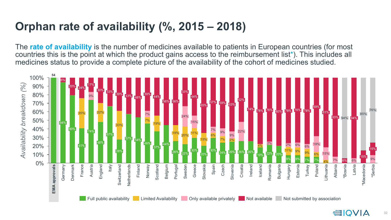## **Orphan rate of availability (%, 2015 – 2018)**

The **rate of availability** is the number of medicines available to patients in European countries (for most countries this is the point at which the product gains access to the reimbursement list\*). This includes all medicines status to provide a complete picture of the availability of the cohort of medicines studied.

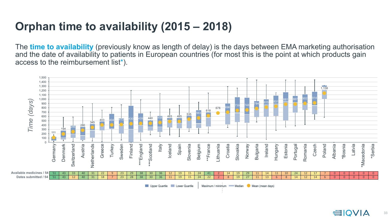## **Orphan time to availability (2015 – 2018)**

The **time to availability** (previously know as length of delay) is the days between EMA marketing authorisation and the date of availability to patients in European countries (for most this is the point at which products gain access to the reimbursement list\*).

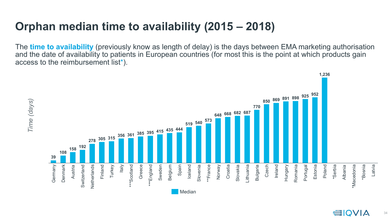## **Orphan median time to availability (2015 – 2018)**

The **time to availability** (previously know as length of delay) is the days between EMA marketing authorisation and the date of availability to patients in European countries (for most this is the point at which products gain access to the reimbursement list\*).

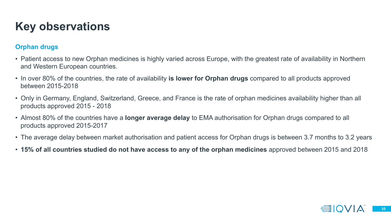## **Key observations**

### **Orphan drugs**

- Patient access to new Orphan medicines is highly varied across Europe, with the greatest rate of availability in Northern and Western European countries.
- In over 80% of the countries, the rate of availability **is lower for Orphan drugs** compared to all products approved between 2015-2018
- Only in Germany, England, Switzerland, Greece, and France is the rate of orphan medicines availability higher than all products approved 2015 - 2018
- Almost 80% of the countries have a **longer average delay** to EMA authorisation for Orphan drugs compared to all products approved 2015-2017
- The average delay between market authorisation and patient access for Orphan drugs is between 3.7 months to 3.2 years
- **15% of all countries studied do not have access to any of the orphan medicines** approved between 2015 and 2018

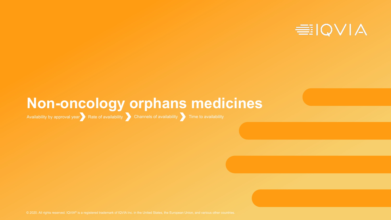

## **Non-oncology orphans medicines**

Availability by approval year  $R$  Rate of availability  $\sum$  Channels of availability  $\sum$  Time to availability

© 2020. All rights reserved. IQVIA® is a registered trademark of IQVIA Inc. in the United States, the European Union, and various other countries.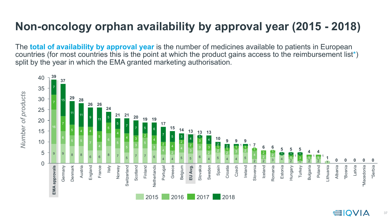## **Non-oncology orphan availability by approval year (2015 - 2018)**

The **total of availability by approval year** is the number of medicines available to patients in European countries (for most countries this is the point at which the product gains access to the reimbursement list\*) split by the year in which the EMA granted marketing authorisation.

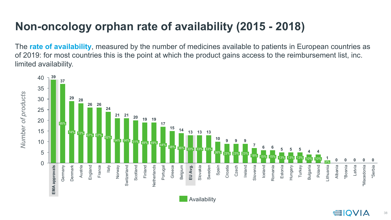## **Non-oncology orphan rate of availability (2015 - 2018)**

The **rate of availability**, measured by the number of medicines available to patients in European countries as of 2019: for most countries this is the point at which the product gains access to the reimbursement list, inc. limited availability.



**Availability**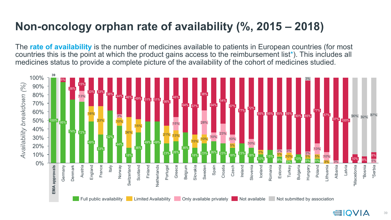## **Non-oncology orphan rate of availability (%, 2015 – 2018)**

The **rate of availability** is the number of medicines available to patients in European countries (for most countries this is the point at which the product gains access to the reimbursement list\*). This includes all medicines status to provide a complete picture of the availability of the cohort of medicines studied.

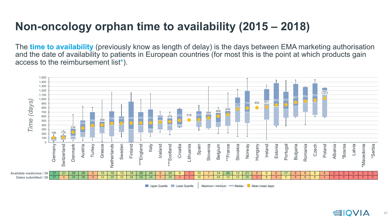## **Non-oncology orphan time to availability (2015 – 2018)**

The **time to availability** (previously know as length of delay) is the days between EMA marketing authorisation and the date of availability to patients in European countries (for most this is the point at which products gain access to the reimbursement list\*).

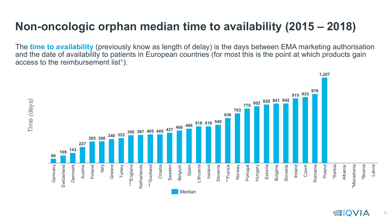### **Non-oncologic orphan median time to availability (2015 – 2018)**

The **time to availability** (previously know as length of delay) is the days between EMA marketing authorisation and the date of availability to patients in European countries (for most this is the point at which products gain access to the reimbursement list\*).

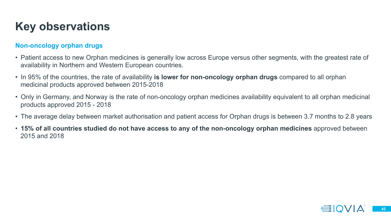## **Key observations**

### **Non-oncology orphan drugs**

- Patient access to new Orphan medicines is generally low across Europe versus other segments, with the greatest rate of availability in Northern and Western European countries.
- In 95% of the countries, the rate of availability **is lower for non-oncology orphan drugs** compared to all orphan medicinal products approved between 2015-2018
- Only in Germany, and Norway is the rate of non-oncology orphan medicines availability equivalent to all orphan medicinal products approved 2015 - 2018
- The average delay between market authorisation and patient access for Orphan drugs is between 3.7 months to 2.8 years
- **15% of all countries studied do not have access to any of the non-oncology orphan medicines** approved between 2015 and 2018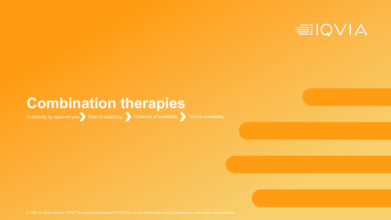

## **Combination therapies**

Availability by approval year Rate of availability Channels of availability Time to availability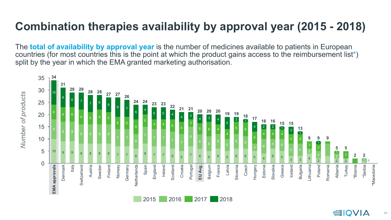## **Combination therapies availability by approval year (2015 - 2018)**

The **total of availability by approval year** is the number of medicines available to patients in European countries (for most countries this is the point at which the product gains access to the reimbursement list\*) split by the year in which the EMA granted marketing authorisation.

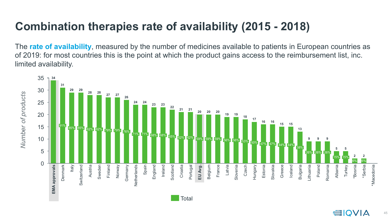## **Combination therapies rate of availability (2015 - 2018)**

The **rate of availability**, measured by the number of medicines available to patients in European countries as of 2019: for most countries this is the point at which the product gains access to the reimbursement list, inc. limited availability.

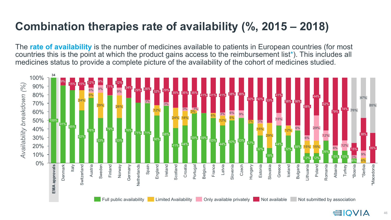## **Combination therapies rate of availability (%, 2015 – 2018)**

The **rate of availability** is the number of medicines available to patients in European countries (for most countries this is the point at which the product gains access to the reimbursement list\*). This includes all medicines status to provide a complete picture of the availability of the cohort of medicines studied.

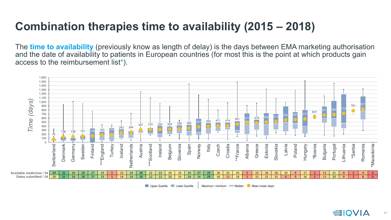## **Combination therapies time to availability (2015 – 2018)**

The **time to availability** (previously know as length of delay) is the days between EMA marketing authorisation and the date of availability to patients in European countries (for most this is the point at which products gain access to the reimbursement list\*).



Upper Quartile | Lower Quartile

Maximum / minimum - Median Mean (mean days)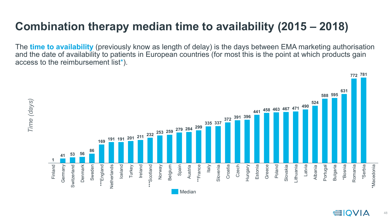## **Combination therapy median time to availability (2015 – 2018)**

The **time to availability** (previously know as length of delay) is the days between EMA marketing authorisation and the date of availability to patients in European countries (for most this is the point at which products gain access to the reimbursement list\*).

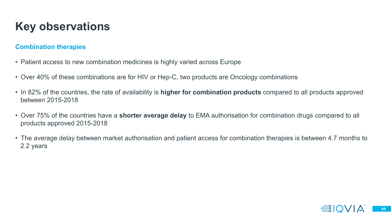## **Key observations**

### **Combination therapies**

- Patient access to new combination medicines is highly varied across Europe
- Over 40% of these combinations are for HIV or Hep-C, two products are Oncology combinations
- In 82% of the countries, the rate of availability is **higher for combination products** compared to all products approved between 2015-2018
- Over 75% of the countries have a **shorter average delay** to EMA authorisation for combination drugs compared to all products approved 2015-2018
- The average delay between market authorisation and patient access for combination therapies is between 4.7 months to 2.2 years

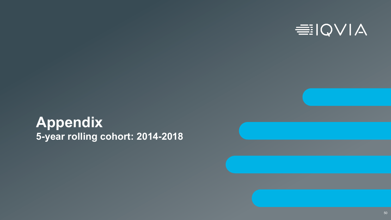

## **Appendix 5-year rolling cohort: 2014-2018**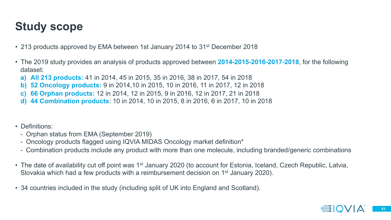## **Study scope**

- 213 products approved by EMA between 1st January 2014 to 31<sup>st</sup> December 2018
- The 2019 study provides an analysis of products approved between **2014-2015-2016-2017-2018**, for the following dataset:
	- **a) All 213 products:** 41 in 2014, 45 in 2015, 35 in 2016, 38 in 2017, 54 in 2018
	- **b) 52 Oncology products:** 9 in 2014,10 in 2015, 10 in 2016, 11 in 2017, 12 in 2018
	- **c) 66 Orphan products:** 12 in 2014, 12 in 2015, 9 in 2016, 12 in 2017, 21 in 2018
	- **d) 44 Combination products**: 10 in 2014, 10 in 2015, 8 in 2016, 6 in 2017, 10 in 2018
- Definitions:
	- Orphan status from EMA (September 2019)
	- Oncology products flagged using IQVIA MIDAS Oncology market definition\*
	- Combination products include any product with more than one molecule, including branded/generic combinations
- The date of availability cut off point was 1<sup>st</sup> January 2020 (to account for Estonia, Iceland, Czech Republic, Latvia, Slovakia which had a few products with a reimbursement decision on 1st January 2020).
- 34 countries included in the study (including split of UK into England and Scotland).

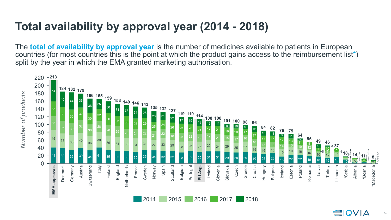## **Total availability by approval year (2014 - 2018)**

The **total of availability by approval year** is the number of medicines available to patients in European countries (for most countries this is the point at which the product gains access to the reimbursement list\*) split by the year in which the EMA granted marketing authorisation.

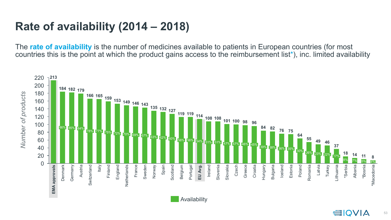## **Rate of availability (2014 – 2018)**

The **rate of availability** is the number of medicines available to patients in European countries (for most countries this is the point at which the product gains access to the reimbursement list\*), inc. limited availability

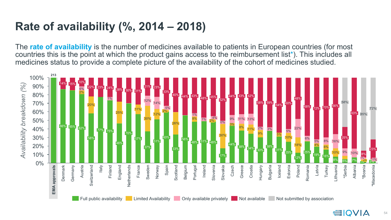## **Rate of availability (%, 2014 – 2018)**

The **rate of availability** is the number of medicines available to patients in European countries (for most countries this is the point at which the product gains access to the reimbursement list\*). This includes all medicines status to provide a complete picture of the availability of the cohort of medicines studied.

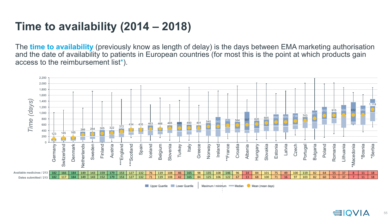## **Time to availability (2014 – 2018)**

The **time to availability** (previously know as length of delay) is the days between EMA marketing authorisation and the date of availability to patients in European countries (for most this is the point at which products gain access to the reimbursement list\*).



Upper Quartile | Lower Quartile

Maximum / minimum - Median Mean (mean days)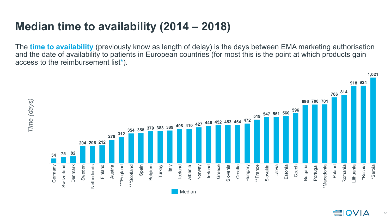## **Median time to availability (2014 – 2018)**

The **time to availability** (previously know as length of delay) is the days between EMA marketing authorisation and the date of availability to patients in European countries (for most this is the point at which products gain access to the reimbursement list\*).